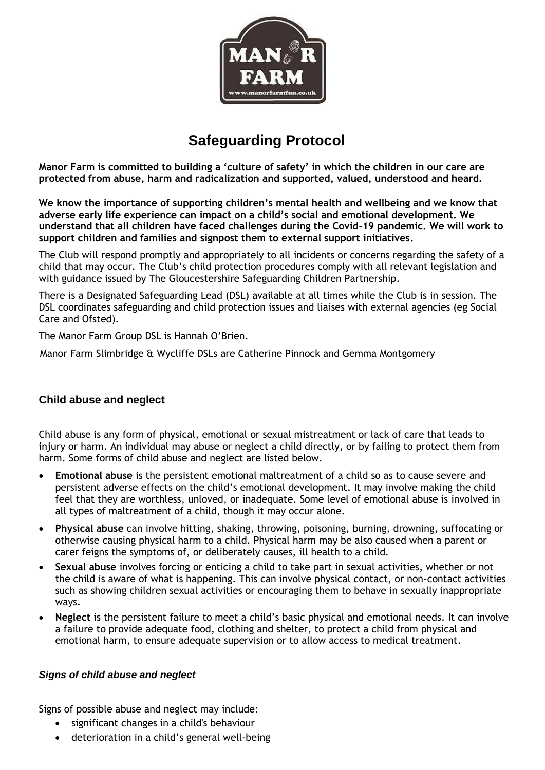

# **Safeguarding Protocol**

**Manor Farm is committed to building a 'culture of safety' in which the children in our care are protected from abuse, harm and radicalization and supported, valued, understood and heard.**

**We know the importance of supporting children's mental health and wellbeing and we know that adverse early life experience can impact on a child's social and emotional development. We understand that all children have faced challenges during the Covid-19 pandemic. We will work to support children and families and signpost them to external support initiatives.**

The Club will respond promptly and appropriately to all incidents or concerns regarding the safety of a child that may occur. The Club's child protection procedures comply with all relevant legislation and with guidance issued by The Gloucestershire Safeguarding Children Partnership.

There is a Designated Safeguarding Lead (DSL) available at all times while the Club is in session. The DSL coordinates safeguarding and child protection issues and liaises with external agencies (eg Social Care and Ofsted).

The Manor Farm Group DSL is Hannah O'Brien.

Manor Farm Slimbridge & Wycliffe DSLs are Catherine Pinnock and Gemma Montgomery

## **Child abuse and neglect**

Child abuse is any form of physical, emotional or sexual mistreatment or lack of care that leads to injury or harm. An individual may abuse or neglect a child directly, or by failing to protect them from harm. Some forms of child abuse and neglect are listed below.

- **Emotional abuse** is the persistent emotional maltreatment of a child so as to cause severe and persistent adverse effects on the child's emotional development. It may involve making the child feel that they are worthless, unloved, or inadequate. Some level of emotional abuse is involved in all types of maltreatment of a child, though it may occur alone.
- **Physical abuse** can involve hitting, shaking, throwing, poisoning, burning, drowning, suffocating or otherwise causing physical harm to a child. Physical harm may be also caused when a parent or carer feigns the symptoms of, or deliberately causes, ill health to a child.
- **Sexual abuse** involves forcing or enticing a child to take part in sexual activities, whether or not the child is aware of what is happening. This can involve physical contact, or non-contact activities such as showing children sexual activities or encouraging them to behave in sexually inappropriate ways.
- **Neglect** is the persistent failure to meet a child's basic physical and emotional needs. It can involve a failure to provide adequate food, clothing and shelter, to protect a child from physical and emotional harm, to ensure adequate supervision or to allow access to medical treatment.

#### *Signs of child abuse and neglect*

Signs of possible abuse and neglect may include:

- significant changes in a child's behaviour
- deterioration in a child's general well-being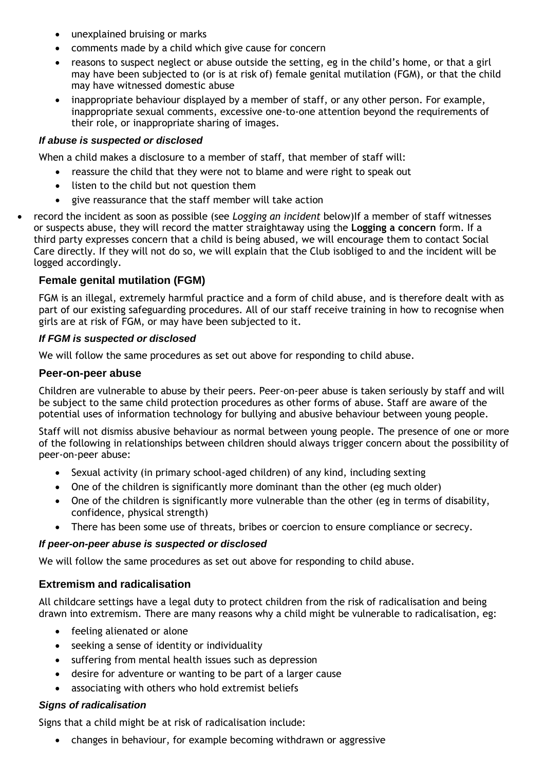- unexplained bruising or marks
- comments made by a child which give cause for concern
- reasons to suspect neglect or abuse outside the setting, eg in the child's home, or that a girl may have been subjected to (or is at risk of) female genital mutilation (FGM), or that the child may have witnessed domestic abuse
- inappropriate behaviour displayed by a member of staff, or any other person. For example, inappropriate sexual comments, excessive one-to-one attention beyond the requirements of their role, or inappropriate sharing of images.

## *If abuse is suspected or disclosed*

When a child makes a disclosure to a member of staff, that member of staff will:

- reassure the child that they were not to blame and were right to speak out
- listen to the child but not question them
- give reassurance that the staff member will take action
- record the incident as soon as possible (see *Logging an incident* below)If a member of staff witnesses or suspects abuse, they will record the matter straightaway using the **Logging a concern** form. If a third party expresses concern that a child is being abused, we will encourage them to contact Social Care directly. If they will not do so, we will explain that the Club isobliged to and the incident will be logged accordingly.

# **Female genital mutilation (FGM)**

FGM is an illegal, extremely harmful practice and a form of child abuse, and is therefore dealt with as part of our existing safeguarding procedures. All of our staff receive training in how to recognise when girls are at risk of FGM, or may have been subjected to it.

#### *If FGM is suspected or disclosed*

We will follow the same procedures as set out above for responding to child abuse.

#### **Peer-on-peer abuse**

Children are vulnerable to abuse by their peers. Peer-on-peer abuse is taken seriously by staff and will be subject to the same child protection procedures as other forms of abuse. Staff are aware of the potential uses of information technology for bullying and abusive behaviour between young people.

Staff will not dismiss abusive behaviour as normal between young people. The presence of one or more of the following in relationships between children should always trigger concern about the possibility of peer-on-peer abuse:

- Sexual activity (in primary school-aged children) of any kind, including sexting
- One of the children is significantly more dominant than the other (eg much older)
- One of the children is significantly more vulnerable than the other (eg in terms of disability, confidence, physical strength)
- There has been some use of threats, bribes or coercion to ensure compliance or secrecy.

#### *If peer-on-peer abuse is suspected or disclosed*

We will follow the same procedures as set out above for responding to child abuse.

## **Extremism and radicalisation**

All childcare settings have a legal duty to protect children from the risk of radicalisation and being drawn into extremism. There are many reasons why a child might be vulnerable to radicalisation, eg:

- feeling alienated or alone
- seeking a sense of identity or individuality
- suffering from mental health issues such as depression
- desire for adventure or wanting to be part of a larger cause
- associating with others who hold extremist beliefs

#### *Signs of radicalisation*

Signs that a child might be at risk of radicalisation include:

• changes in behaviour, for example becoming withdrawn or aggressive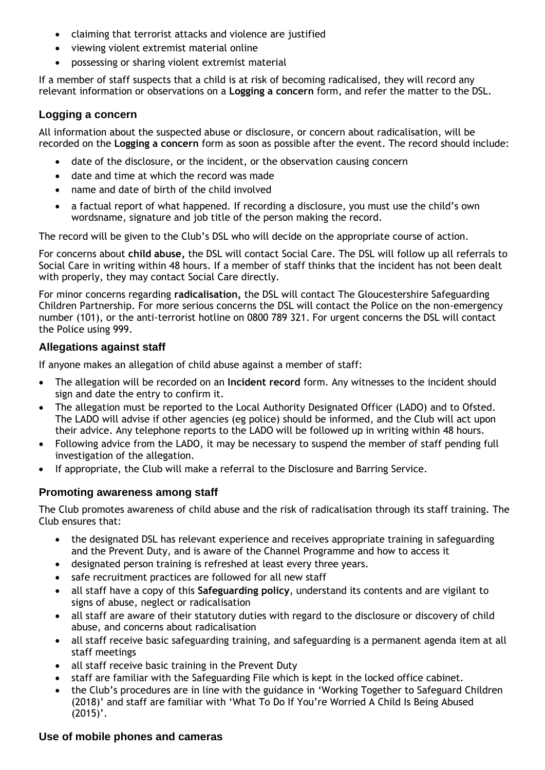- claiming that terrorist attacks and violence are justified
- viewing violent extremist material online
- possessing or sharing violent extremist material

If a member of staff suspects that a child is at risk of becoming radicalised, they will record any relevant information or observations on a **Logging a concern** form, and refer the matter to the DSL.

## **Logging a concern**

All information about the suspected abuse or disclosure, or concern about radicalisation, will be recorded on the **Logging a concern** form as soon as possible after the event. The record should include:

- date of the disclosure, or the incident, or the observation causing concern
- date and time at which the record was made
- name and date of birth of the child involved
- a factual report of what happened. If recording a disclosure, you must use the child's own wordsname, signature and job title of the person making the record.

The record will be given to the Club's DSL who will decide on the appropriate course of action.

For concerns about **child abuse,** the DSL will contact Social Care. The DSL will follow up all referrals to Social Care in writing within 48 hours. If a member of staff thinks that the incident has not been dealt with properly, they may contact Social Care directly.

For minor concerns regarding **radicalisation,** the DSL will contact The Gloucestershire Safeguarding Children Partnership. For more serious concerns the DSL will contact the Police on the non-emergency number (101), or the anti-terrorist hotline on 0800 789 321. For urgent concerns the DSL will contact the Police using 999.

## **Allegations against staff**

If anyone makes an allegation of child abuse against a member of staff:

- The allegation will be recorded on an **Incident record** form. Any witnesses to the incident should sign and date the entry to confirm it.
- The allegation must be reported to the Local Authority Designated Officer (LADO) and to Ofsted. The LADO will advise if other agencies (eg police) should be informed, and the Club will act upon their advice. Any telephone reports to the LADO will be followed up in writing within 48 hours.
- Following advice from the LADO, it may be necessary to suspend the member of staff pending full investigation of the allegation.
- If appropriate, the Club will make a referral to the Disclosure and Barring Service.

## **Promoting awareness among staff**

The Club promotes awareness of child abuse and the risk of radicalisation through its staff training. The Club ensures that:

- the designated DSL has relevant experience and receives appropriate training in safeguarding and the Prevent Duty, and is aware of the Channel Programme and how to access it
- designated person training is refreshed at least every three years.
- safe recruitment practices are followed for all new staff
- all staff have a copy of this **Safeguarding policy**, understand its contents and are vigilant to signs of abuse, neglect or radicalisation
- all staff are aware of their statutory duties with regard to the disclosure or discovery of child abuse, and concerns about radicalisation
- all staff receive basic safeguarding training, and safeguarding is a permanent agenda item at all staff meetings
- all staff receive basic training in the Prevent Duty
- staff are familiar with the Safeguarding File which is kept in the locked office cabinet.
- the Club's procedures are in line with the guidance in 'Working Together to Safeguard Children (2018)' and staff are familiar with 'What To Do If You're Worried A Child Is Being Abused  $(2015)'$ .

## **Use of mobile phones and cameras**